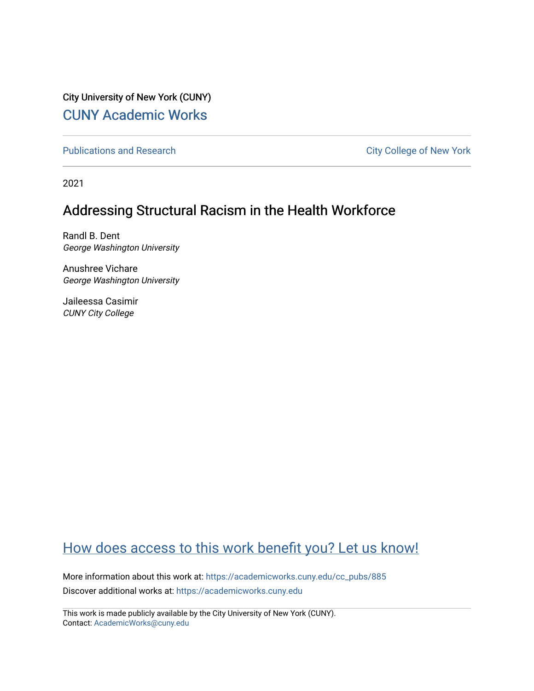City University of New York (CUNY) [CUNY Academic Works](https://academicworks.cuny.edu/) 

[Publications and Research](https://academicworks.cuny.edu/cc_pubs) **City College of New York** Publications and Research

2021

# Addressing Structural Racism in the Health Workforce

Randl B. Dent George Washington University

Anushree Vichare George Washington University

Jaileessa Casimir CUNY City College

# [How does access to this work benefit you? Let us know!](http://ols.cuny.edu/academicworks/?ref=https://academicworks.cuny.edu/cc_pubs/885)

More information about this work at: [https://academicworks.cuny.edu/cc\\_pubs/885](https://academicworks.cuny.edu/cc_pubs/885)  Discover additional works at: [https://academicworks.cuny.edu](https://academicworks.cuny.edu/?)

This work is made publicly available by the City University of New York (CUNY). Contact: [AcademicWorks@cuny.edu](mailto:AcademicWorks@cuny.edu)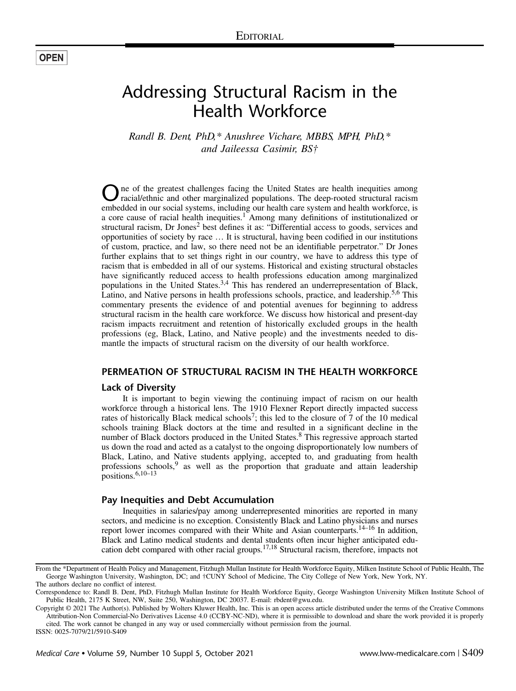# Addressing Structural Racism in the Health Workforce

Randl B. Dent, PhD,\* Anushree Vichare, MBBS, MPH, PhD,\* and Jaileessa Casimir, BS†

One of the greatest challenges facing the United States are health inequities among racial/ethnic and other marginalized populations. The deep-rooted structural racism embedded in our social systems, including our health care system and health workforce, is a core cause of racial health inequities.<sup>[1](#page-3-0)</sup> Among many definitions of institutionalized or structural racism, Dr Jones<sup>[2](#page-3-0)</sup> best defines it as: "Differential access to goods, services and opportunities of society by race … It is structural, having been codified in our institutions of custom, practice, and law, so there need not be an identifiable perpetrator." Dr Jones further explains that to set things right in our country, we have to address this type of racism that is embedded in all of our systems. Historical and existing structural obstacles have significantly reduced access to health professions education among marginalized populations in the United States.<sup>[3,4](#page-3-0)</sup> This has rendered an underrepresentation of Black, Latino, and Native persons in health professions schools, practice, and leadership.<sup>[5,6](#page-3-0)</sup> This commentary presents the evidence of and potential avenues for beginning to address structural racism in the health care workforce. We discuss how historical and present-day racism impacts recruitment and retention of historically excluded groups in the health professions (eg, Black, Latino, and Native people) and the investments needed to dismantle the impacts of structural racism on the diversity of our health workforce.

## PERMEATION OF STRUCTURAL RACISM IN THE HEALTH WORKFORCE

#### Lack of Diversity

It is important to begin viewing the continuing impact of racism on our health workforce through a historical lens. The 1910 Flexner Report directly impacted success rates of historically Black medical schools<sup>7</sup>; this led to the closure of 7 of the 10 medical schools training Black doctors at the time and resulted in a significant decline in the number of Black doctors produced in the United States.<sup>[8](#page-3-0)</sup> This regressive approach started us down the road and acted as a catalyst to the ongoing disproportionately low numbers of Black, Latino, and Native students applying, accepted to, and graduating from health professions schools, $9$  as well as the proportion that graduate and attain leadership positions.[6,10](#page-3-0)–<sup>13</sup>

#### Pay Inequities and Debt Accumulation

Inequities in salaries/pay among underrepresented minorities are reported in many sectors, and medicine is no exception. Consistently Black and Latino physicians and nurses report lower incomes compared with their White and Asian counterparts.<sup>14–16</sup> In addition, Black and Latino medical students and dental students often incur higher anticipated education debt compared with other racial groups.[17,18](#page-4-0) Structural racism, therefore, impacts not

ISSN: 0025-7079/21/5910-S409

From the \*Department of Health Policy and Management, Fitzhugh Mullan Institute for Health Workforce Equity, Milken Institute School of Public Health, The George Washington University, Washington, DC; and †CUNY School of Medicine, The City College of New York, New York, NY. The authors declare no conflict of interest.

Correspondence to: Randl B. Dent, PhD, Fitzhugh Mullan Institute for Health Workforce Equity, George Washington University Milken Institute School of Public Health, 2175 K Street, NW, Suite 250, Washington, DC 20037. E-mail: [rbdent@gwu.edu](mailto:rbdent@gwu.edu).

Copyright © 2021 The Author(s). Published by Wolters Kluwer Health, Inc. This is an open access article distributed under the terms of the [Creative Commons](http://creativecommons.org/licenses/by-nc-nd/4.0/) [Attribution-Non Commercial-No Derivatives License 4.0](http://creativecommons.org/licenses/by-nc-nd/4.0/) (CCBY-NC-ND), where it is permissible to download and share the work provided it is properly cited. The work cannot be changed in any way or used commercially without permission from the journal.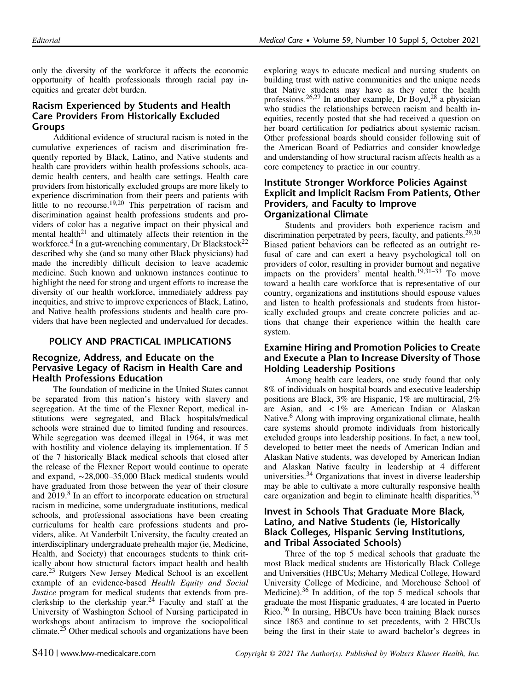only the diversity of the workforce it affects the economic opportunity of health professionals through racial pay inequities and greater debt burden.

# Racism Experienced by Students and Health Care Providers From Historically Excluded Groups

Additional evidence of structural racism is noted in the cumulative experiences of racism and discrimination frequently reported by Black, Latino, and Native students and health care providers within health professions schools, academic health centers, and health care settings. Health care providers from historically excluded groups are more likely to experience discrimination from their peers and patients with little to no recourse.<sup>[19,20](#page-4-0)</sup> This perpetration of racism and discrimination against health professions students and providers of color has a negative impact on their physical and mental health<sup>[21](#page-4-0)</sup> and ultimately affects their retention in the workforce.<sup>[4](#page-3-0)</sup> In a gut-wrenching commentary, Dr Blackstock<sup>[22](#page-4-0)</sup> described why she (and so many other Black physicians) had made the incredibly difficult decision to leave academic medicine. Such known and unknown instances continue to highlight the need for strong and urgent efforts to increase the diversity of our health workforce, immediately address pay inequities, and strive to improve experiences of Black, Latino, and Native health professions students and health care providers that have been neglected and undervalued for decades.

## POLICY AND PRACTICAL IMPLICATIONS

#### Recognize, Address, and Educate on the Pervasive Legacy of Racism in Health Care and Health Professions Education

The foundation of medicine in the United States cannot be separated from this nation's history with slavery and segregation. At the time of the Flexner Report, medical institutions were segregated, and Black hospitals/medical schools were strained due to limited funding and resources. While segregation was deemed illegal in 1964, it was met with hostility and violence delaying its implementation. If 5 of the 7 historically Black medical schools that closed after the release of the Flexner Report would continue to operate and expand, ∼28,000–35,000 Black medical students would have graduated from those between the year of their closure and 2019.[8](#page-3-0) In an effort to incorporate education on structural racism in medicine, some undergraduate institutions, medical schools, and professional associations have been creating curriculums for health care professions students and providers, alike. At Vanderbilt University, the faculty created an interdisciplinary undergraduate prehealth major (ie, Medicine, Health, and Society) that encourages students to think critically about how structural factors impact health and health care.[23](#page-4-0) Rutgers New Jersey Medical School is an excellent example of an evidence-based Health Equity and Social Justice program for medical students that extends from preclerkship to the clerkship year.[24](#page-4-0) Faculty and staff at the University of Washington School of Nursing participated in workshops about antiracism to improve the sociopolitical climate.[25](#page-4-0) Other medical schools and organizations have been exploring ways to educate medical and nursing students on building trust with native communities and the unique needs that Native students may have as they enter the health professions.<sup>[26,27](#page-4-0)</sup> In another example, Dr Boyd,<sup>[28](#page-4-0)</sup> a physician who studies the relationships between racism and health inequities, recently posted that she had received a question on her board certification for pediatrics about systemic racism. Other professional boards should consider following suit of the American Board of Pediatrics and consider knowledge and understanding of how structural racism affects health as a core competency to practice in our country.

### Institute Stronger Workforce Policies Against Explicit and Implicit Racism From Patients, Other Providers, and Faculty to Improve Organizational Climate

Students and providers both experience racism and discrimination perpetrated by peers, faculty, and patients.[29,30](#page-4-0) Biased patient behaviors can be reflected as an outright refusal of care and can exert a heavy psychological toll on providers of color, resulting in provider burnout and negative impacts on the providers<sup>7</sup> mental health.<sup>[19,31](#page-4-0)-33</sup> To move toward a health care workforce that is representative of our country, organizations and institutions should espouse values and listen to health professionals and students from historically excluded groups and create concrete policies and actions that change their experience within the health care system.

## Examine Hiring and Promotion Policies to Create and Execute a Plan to Increase Diversity of Those Holding Leadership Positions

Among health care leaders, one study found that only 8% of individuals on hospital boards and executive leadership positions are Black, 3% are Hispanic, 1% are multiracial, 2% are Asian, and < 1% are American Indian or Alaskan Native.<sup>[6](#page-3-0)</sup> Along with improving organizational climate, health care systems should promote individuals from historically excluded groups into leadership positions. In fact, a new tool, developed to better meet the needs of American Indian and Alaskan Native students, was developed by American Indian and Alaskan Native faculty in leadership at 4 different universities. $34$  Organizations that invest in diverse leadership may be able to cultivate a more culturally responsive health care organization and begin to eliminate health disparities.<sup>[35](#page-4-0)</sup>

#### Invest in Schools That Graduate More Black, Latino, and Native Students (ie, Historically Black Colleges, Hispanic Serving Institutions, and Tribal Associated Schools)

Three of the top 5 medical schools that graduate the most Black medical students are Historically Black College and Universities (HBCUs; Meharry Medical College, Howard University College of Medicine, and Morehouse School of Medicine).[36](#page-4-0) In addition, of the top 5 medical schools that graduate the most Hispanic graduates, 4 are located in Puerto Rico.[36](#page-4-0) In nursing, HBCUs have been training Black nurses since 1863 and continue to set precedents, with 2 HBCUs being the first in their state to award bachelor's degrees in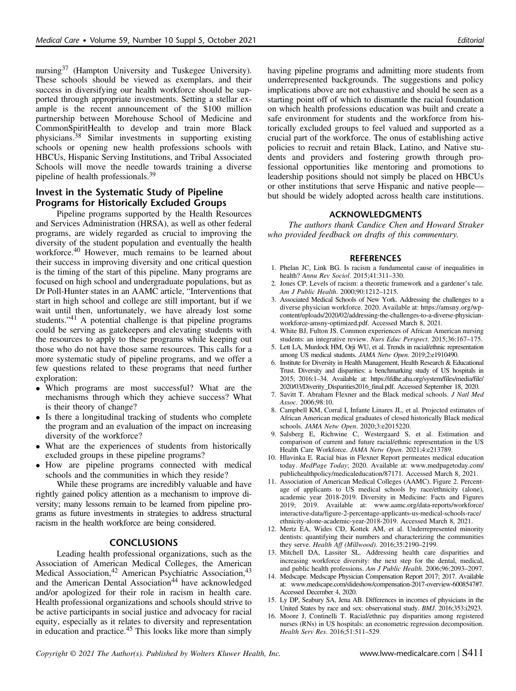<span id="page-3-0"></span>nursing<sup>[37](#page-4-0)</sup> (Hampton University and Tuskegee University). These schools should be viewed as exemplars, and their success in diversifying our health workforce should be supported through appropriate investments. Setting a stellar example is the recent announcement of the \$100 million partnership between Morehouse School of Medicine and CommonSpiritHealth to develop and train more Black physicians.[38](#page-4-0) Similar investments in supporting existing schools or opening new health professions schools with HBCUs, Hispanic Serving Institutions, and Tribal Associated Schools will move the needle towards training a diverse pipeline of health professionals.[39](#page-4-0)

#### Invest in the Systematic Study of Pipeline Programs for Historically Excluded Groups

Pipeline programs supported by the Health Resources and Services Administration (HRSA), as well as other federal programs, are widely regarded as crucial to improving the diversity of the student population and eventually the health workforce.[40](#page-4-0) However, much remains to be learned about their success in improving diversity and one critical question is the timing of the start of this pipeline. Many programs are focused on high school and undergraduate populations, but as Dr Poll-Hunter states in an AAMC article, "Interventions that start in high school and college are still important, but if we wait until then, unfortunately, we have already lost some students."[41](#page-4-0) A potential challenge is that pipeline programs could be serving as gatekeepers and elevating students with the resources to apply to these programs while keeping out those who do not have those same resources. This calls for a more systematic study of pipeline programs, and we offer a few questions related to these programs that need further exploration:

- Which programs are most successful? What are the mechanisms through which they achieve success? What is their theory of change?
- Is there a longitudinal tracking of students who complete the program and an evaluation of the impact on increasing diversity of the workforce?
- What are the experiences of students from historically excluded groups in these pipeline programs?
- How are pipeline programs connected with medical schools and the communities in which they reside?

While these programs are incredibly valuable and have rightly gained policy attention as a mechanism to improve diversity; many lessons remain to be learned from pipeline programs as future investments in strategies to address structural racism in the health workforce are being considered.

#### **CONCLUSIONS**

Leading health professional organizations, such as the Association of American Medical Colleges, the American Medical Association,<sup>[42](#page-4-0)</sup> American Psychiatric Association,<sup>[43](#page-4-0)</sup> and the American Dental Association<sup>[44](#page-4-0)</sup> have acknowledged and/or apologized for their role in racism in health care. Health professional organizations and schools should strive to be active participants in social justice and advocacy for racial equity, especially as it relates to diversity and representation in education and practice.<sup>[45](#page-4-0)</sup> This looks like more than simply

having pipeline programs and admitting more students from underrepresented backgrounds. The suggestions and policy implications above are not exhaustive and should be seen as a starting point off of which to dismantle the racial foundation on which health professions education was built and create a safe environment for students and the workforce from historically excluded groups to feel valued and supported as a crucial part of the workforce. The onus of establishing active policies to recruit and retain Black, Latino, and Native students and providers and fostering growth through professional opportunities like mentoring and promotions to leadership positions should not simply be placed on HBCUs or other institutions that serve Hispanic and native people but should be widely adopted across health care institutions.

#### ACKNOWLEDGMENTS

The authors thank Candice Chen and Howard Straker who provided feedback on drafts of this commentary.

#### **REFERENCES**

- 1. Phelan JC, Link BG. Is racism a fundamental cause of inequalities in health? Annu Rev Sociol. 2015;41:311–330.
- 2. Jones CP. Levels of racism: a theoretic framework and a gardener's tale. Am J Public Health. 2000;90:1212–1215.
- Associated Medical Schools of New York. Addressing the challenges to a diverse physician workforce. 2020. Available at: [https://amsny.org/wp](https://amsny.org/wp-content/uploads/2020/02/addressing-the-challenges-to-a-diverse-physician-workforce-amsny-optimized.pdf)[content/uploads/2020/02/addressing-the-challenges-to-a-diverse-physician](https://amsny.org/wp-content/uploads/2020/02/addressing-the-challenges-to-a-diverse-physician-workforce-amsny-optimized.pdf)[workforce-amsny-optimized.pdf.](https://amsny.org/wp-content/uploads/2020/02/addressing-the-challenges-to-a-diverse-physician-workforce-amsny-optimized.pdf) Accessed March 8, 2021.
- 4. White BJ, Fulton JS. Common experiences of African American nursing students: an integrative review. Nurs Educ Perspect. 2015;36:167–175.
- 5. Lett LA, Murdock HM, Orji WU, et al. Trends in racial/ethnic representation among US medical students. JAMA Netw Open. 2019;2:e1910490.
- 6. Institute for Diversity in Health Management, Health Research & Educational Trust. Diversity and disparities: a benchmarking study of US hospitals in 2015; 2016:1–34. Available at: [https://ifdhe.aha.org/system/files/media/file/](https://ifdhe.aha.org/system/files/media/file/2020/03/Diverity_Disparities2016_final.pdf) [2020/03/Diverity\\_Disparities2016\\_final.pdf](https://ifdhe.aha.org/system/files/media/file/2020/03/Diverity_Disparities2016_final.pdf). Accessed September 18, 2020.
- 7. Savitt T. Abraham Flexner and the Black medical schools. J Natl Med Assoc. 2006;98:10.
- 8. Campbell KM, Corral I, Infante Linares JL, et al. Projected estimates of African American medical graduates of closed historically Black medical schools. JAMA Netw Open. 2020;3:e2015220.
- 9. Salsberg E, Richwine C, Westergaard S, et al. Estimation and comparison of current and future racial/ethnic representation in the US Health Care Workforce. JAMA Netw Open. 2021;4:e213789.
- 10. Hlavinka E. Racial bias in Flexner Report permeates medical education today. MedPage Today; 2020. Available at: [www.medpagetoday.com/](http://www.medpagetoday.com/publichealthpolicy/medicaleducation/87171) [publichealthpolicy/medicaleducation/87171.](http://www.medpagetoday.com/publichealthpolicy/medicaleducation/87171) Accessed March 8, 2021.
- 11. Association of American Medical Colleges (AAMC). Figure 2. Percentage of applicants to US medical schools by race/ethnicity (alone), academic year 2018-2019. Diversity in Medicine: Facts and Figures 2019; 2019. Available at: [www.aamc.org/data-reports/workforce/](http://www.aamc.org/data-reports/workforce/interactive-data/figure-2-�percentage-applicants-us-medical-schools-race/ethnicity-alone-academic-year-2018-2019) [interactive-data/figure-2-percentage-applicants-us-medical-schools-race/](http://www.aamc.org/data-reports/workforce/interactive-data/figure-2-�percentage-applicants-us-medical-schools-race/ethnicity-alone-academic-year-2018-2019) [ethnicity-alone-academic-year-2018-2019.](http://www.aamc.org/data-reports/workforce/interactive-data/figure-2-�percentage-applicants-us-medical-schools-race/ethnicity-alone-academic-year-2018-2019) Accessed March 8, 2021.
- 12. Mertz EA, Wides CD, Kottek AM, et al. Underrepresented minority dentists: quantifying their numbers and characterizing the communities they serve. Health Aff (Millwood). 2016;35:2190–2199.
- 13. Mitchell DA, Lassiter SL. Addressing health care disparities and increasing workforce diversity: the next step for the dental, medical, and public health professions. Am J Public Health. 2006;96:2093–2097.
- 14. Medscape. Medscape Physician Compensation Report 2017; 2017. Available at: [www.medscape.com/slideshow/compensation-2017-overview-6008547#7.](http://www.medscape.com/slideshow/compensation-2017-�overview-6008547#7) Accessed December 4, 2020.
- 15. Ly DP, Seabury SA, Jena AB. Differences in incomes of physicians in the United States by race and sex: observational study. BMJ. 2016;353:i2923.
- 16. Moore J, Continelli T. Racial/ethnic pay disparities among registered nurses (RNs) in US hospitals: an econometric regression decomposition. Health Serv Res. 2016;51:511–529.